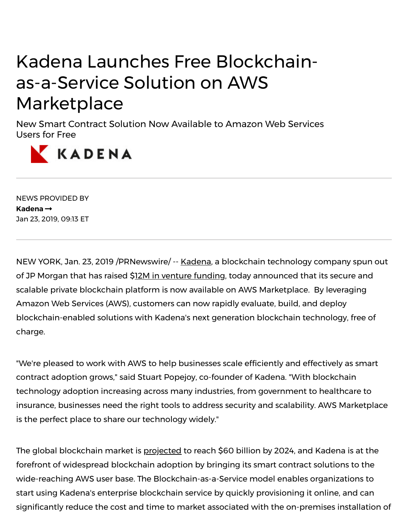## Kadena Launches Free Blockchainas-a-Service Solution on AWS **Marketplace**

New Smart Contract Solution Now Available to Amazon Web Services Users for Free



NEWS PROVIDED BY **[Kadena](https://www.prnewswire.com/news/kadena)** Jan 23, 2019, 09:13 ET

NEW YORK, Jan. 23, 2019 /PRNewswire/ -- [Kadena](https://c212.net/c/link/?t=0&l=en&o=2354158-1&h=3413851895&u=https%3A%2F%2Fkadena.io%2F&a=Kadena), a blockchain technology company spun out of JP Morgan that has raised \$12M in venture [funding](https://c212.net/c/link/?t=0&l=en&o=2354158-1&h=127059443&u=https%3A%2F%2Fwww.coindesk.com%2Fblockchain-startup-kadena-raises-12-million-saft-sale&a=12M+in+venture+funding), today announced that its secure and scalable private blockchain platform is now available on AWS Marketplace. By leveraging Amazon Web Services (AWS), customers can now rapidly evaluate, build, and deploy blockchain-enabled solutions with Kadena's next generation blockchain technology, free of charge.

"We're pleased to work with AWS to help businesses scale efficiently and effectively as smart contract adoption grows," said Stuart Popejoy, co-founder of Kadena. "With blockchain technology adoption increasing across many industries, from government to healthcare to insurance, businesses need the right tools to address security and scalability. AWS Marketplace is the perfect place to share our technology widely."

The global blockchain market is [projected](https://c212.net/c/link/?t=0&l=en&o=2354158-1&h=3949747607&u=http%3A%2F%2Fwww.wintergreenresearch.com%2Fblockchain&a=projected) to reach \$60 billion by 2024, and Kadena is at the forefront of widespread blockchain adoption by bringing its smart contract solutions to the wide-reaching AWS user base. The Blockchain-as-a-Service model enables organizations to start using Kadena's enterprise blockchain service by quickly provisioning it online, and can signicantly reduce the cost and time to market associated with the on-premises installation of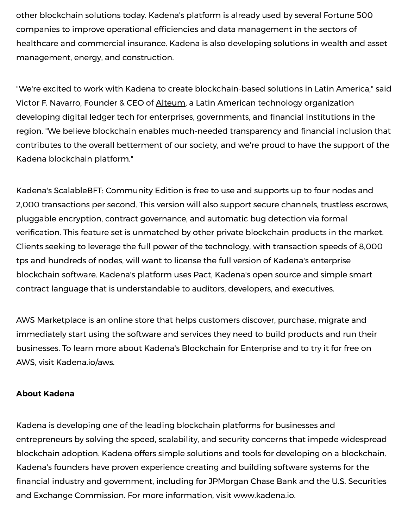other blockchain solutions today. Kadena's platform is already used by several Fortune 500 companies to improve operational efficiencies and data management in the sectors of healthcare and commercial insurance. Kadena is also developing solutions in wealth and asset management, energy, and construction.

"We're excited to work with Kadena to create blockchain-based solutions in Latin America," said Victor F. Navarro, Founder & CEO of [Alteum,](https://c212.net/c/link/?t=0&l=en&o=2354158-1&h=1736557963&u=https%3A%2F%2Falteum.io%2F&a=Alteum) a Latin American technology organization developing digital ledger tech for enterprises, governments, and financial institutions in the region. "We believe blockchain enables much-needed transparency and financial inclusion that contributes to the overall betterment of our society, and we're proud to have the support of the Kadena blockchain platform."

Kadena's ScalableBFT: Community Edition is free to use and supports up to four nodes and 2,000 transactions per second. This version will also support secure channels, trustless escrows, pluggable encryption, contract governance, and automatic bug detection via formal verification. This feature set is unmatched by other private blockchain products in the market. Clients seeking to leverage the full power of the technology, with transaction speeds of 8,000 tps and hundreds of nodes, will want to license the full version of Kadena's enterprise blockchain software. Kadena's platform uses Pact, Kadena's open source and simple smart contract language that is understandable to auditors, developers, and executives.

AWS Marketplace is an online store that helps customers discover, purchase, migrate and immediately start using the software and services they need to build products and run their businesses. To learn more about Kadena's Blockchain for Enterprise and to try it for free on AWS, visit [K](https://c212.net/c/link/?t=0&l=en&o=2354158-1&h=4059209770&u=http%3A%2F%2Fkadena.io%2Faws&a=K)[adena.io/aws](https://c212.net/c/link/?t=0&l=en&o=2354158-1&h=2551482547&u=http%3A%2F%2Fkadena.io%2Faws&a=adena.io%2Faws).

## **About Kadena**

Kadena is developing one of the leading blockchain platforms for businesses and entrepreneurs by solving the speed, scalability, and security concerns that impede widespread blockchain adoption. Kadena offers simple solutions and tools for developing on a blockchain. Kadena's founders have proven experience creating and building software systems for the financial industry and government, including for JPMorgan Chase Bank and the U.S. Securities and Exchange Commission. For more information, visit [www.kadena.io](https://c212.net/c/link/?t=0&l=en&o=2354158-1&h=3148831620&u=http%3A%2F%2Fwww.kadena.io%2F&a=www.kadena.io).